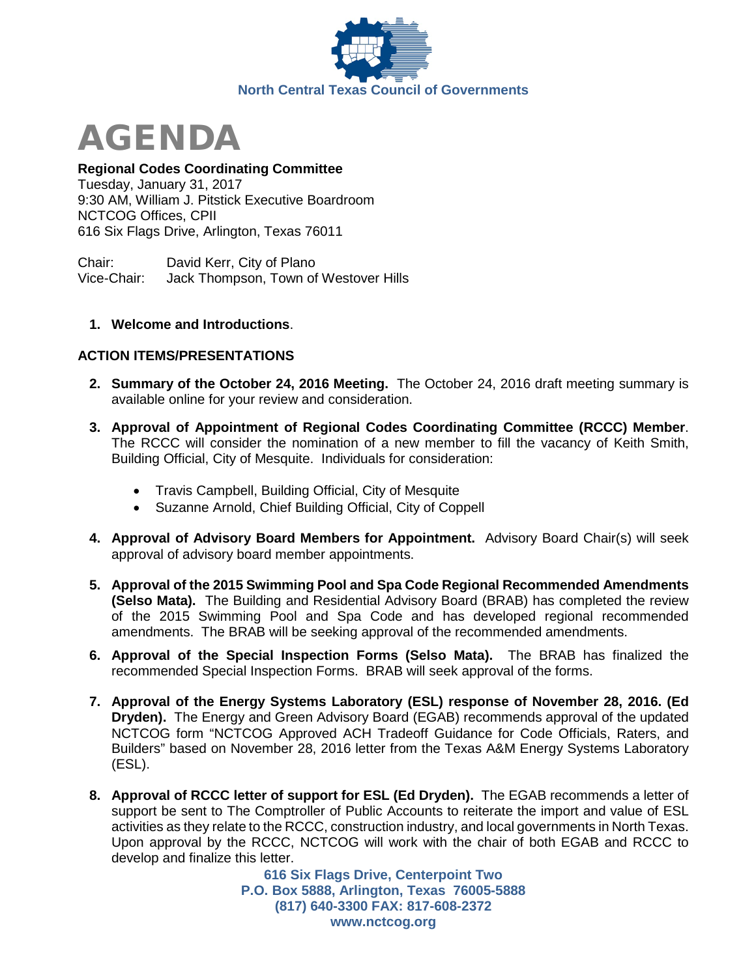



# **Regional Codes Coordinating Committee**

Tuesday, January 31, 2017 9:30 AM, William J. Pitstick Executive Boardroom NCTCOG Offices, CPII 616 Six Flags Drive, Arlington, Texas 76011

Chair: David Kerr, City of Plano Vice-Chair: Jack Thompson, Town of Westover Hills

### **1. Welcome and Introductions**.

## **ACTION ITEMS/PRESENTATIONS**

- **2. Summary of the October 24, 2016 Meeting.** The October 24, 2016 draft meeting summary is available online for your review and consideration.
- **3. Approval of Appointment of Regional Codes Coordinating Committee (RCCC) Member**. The RCCC will consider the nomination of a new member to fill the vacancy of Keith Smith, Building Official, City of Mesquite. Individuals for consideration:
	- Travis Campbell, Building Official, City of Mesquite
	- Suzanne Arnold, Chief Building Official, City of Coppell
- **4. Approval of Advisory Board Members for Appointment.** Advisory Board Chair(s) will seek approval of advisory board member appointments.
- **5. Approval of the 2015 Swimming Pool and Spa Code Regional Recommended Amendments (Selso Mata).** The Building and Residential Advisory Board (BRAB) has completed the review of the 2015 Swimming Pool and Spa Code and has developed regional recommended amendments. The BRAB will be seeking approval of the recommended amendments.
- **6. Approval of the Special Inspection Forms (Selso Mata).** The BRAB has finalized the recommended Special Inspection Forms. BRAB will seek approval of the forms.
- **7. Approval of the Energy Systems Laboratory (ESL) response of November 28, 2016. (Ed Dryden).** The Energy and Green Advisory Board (EGAB) recommends approval of the updated NCTCOG form "NCTCOG Approved ACH Tradeoff Guidance for Code Officials, Raters, and Builders" based on November 28, 2016 letter from the Texas A&M Energy Systems Laboratory (ESL).
- **8. Approval of RCCC letter of support for ESL (Ed Dryden).** The EGAB recommends a letter of support be sent to The Comptroller of Public Accounts to reiterate the import and value of ESL activities as they relate to the RCCC, construction industry, and local governments in North Texas. Upon approval by the RCCC, NCTCOG will work with the chair of both EGAB and RCCC to develop and finalize this letter.

**616 Six Flags Drive, Centerpoint Two P.O. Box 5888, Arlington, Texas 76005-5888 (817) 640-3300 FAX: 817-608-2372 www.nctcog.org**